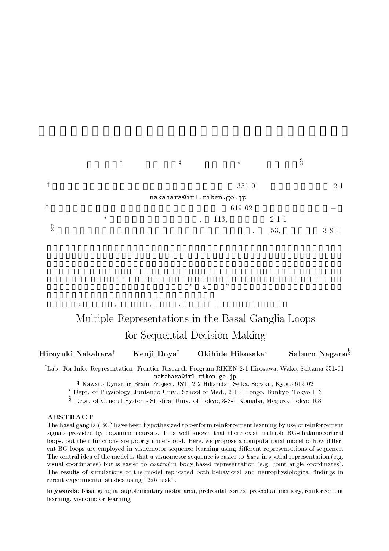## 中原 裕之 銅谷 賢治  $\star$ 永野 三郎  $\ddagger$  $351$ 351-01  $2\mbox{-}1$ --   $\ddagger$  $61$ 619-02  $, 1$ 113.  $3, \hspace{1.5cm} 2-1-1$  $\S$  $\,$ , 1  $153, \hspace{1.5cm} 3-8-1$ るという仮説が提案されている。大脳基底核視床大脳皮質を結ぶ複数のループが知られているが、その機

# $\frac{1}{2}$  . The  $\frac{1}{2}$   $\frac{1}{2}$   $\frac{1}{2}$   $\frac{1}{2}$   $\frac{1}{2}$   $\frac{1}{2}$   $\frac{1}{2}$   $\frac{1}{2}$   $\frac{1}{2}$   $\frac{1}{2}$   $\frac{1}{2}$   $\frac{1}{2}$   $\frac{1}{2}$   $\frac{1}{2}$   $\frac{1}{2}$   $\frac{1}{2}$   $\frac{1}{2}$   $\frac{1}{2}$   $\frac{1}{2}$   $\frac{1}{2}$   $\frac{1$  -

キーワード 大脳基底核 補足運動野 前頭前野 手続き記憶、強化学習、視覚運動学習

 $\mathbb{R}^n$ 

- -Kenji Doya<sup>‡</sup> Okihide Hikosaka\* Saburo Nagano<sup>§</sup>

-Lad. For Into. Representation, Frontier Research Program,RIREN 2-1 Hirosawa, Wako, Saitama 591-01--- 

+ Kawato Dynamic Brain Project, JST, 2-2 Hikaridai, Seika, Soraku, Kyoto 619-02 —

 $^\star$  Dept. of Physiology, Juntendo Univ., School of Med., 2-1-1 Hongo, Bunkyo, Tokyo 113

<sup>3</sup> Dept. of General Systems Studies, Univ. of Tokyo, 3-8-1 Komaba, Meguro, Tokyo 153

, 1 
1 7)58 3 
 ( 9- 1

 ( . express protract of appointed notations, is non-nited an exces dicto change indicaple in constant correction to o bot our recent tumperant and boott, unablescend in the brobond a comparative measure at month annot. one is a copy who chipselve in the confectious adduction remaining defined in the coordensation of actions. The  $\frac{1}{2}$  is a corrected or allows the change of the corrected to decree in control to some in processes to have the controlled for  $\mathbb{R}^n$ and the content content of content to content the control through a children the content of the content of the the results of shinkwording of the highest reginatory would sense in the heart pronogram intuiting in the sense -1 .- .
 -% "

- 1 
1 .1
( 1 - -.1 (  $\mathbf{1}$ 

 $5$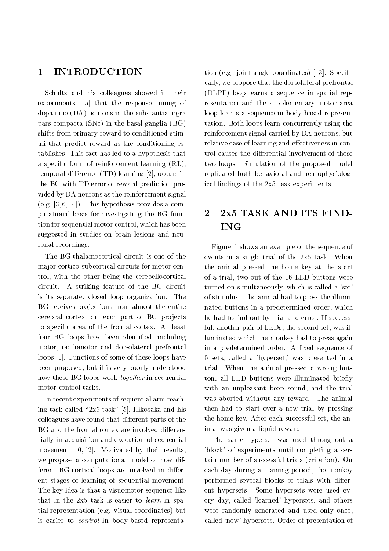#### **INTRODUCTION** 1

Schultz and his colleagues showed in their experiments [15] that the response tuning of dopamine  $(DA)$  neurons in the substantia nigra pars compacta (SNc) in the basal ganglia  $(BG)$ shifts from primary reward to conditioned stimuli that predict reward as the conditioning establishes. This fact has led to a hypothesis that a specific form of reinforcement learning (RL), temporal difference  $(TD)$  learning [2], occurs in the BG with TD error of reward prediction provided by DA neurons as the reinforcement signal (e.g.  $[3,6,14]$ ). This hypothesis provides a computational basis for investigating the BG function for sequential motor control, which has been suggested in studies on brain lesions and neuronal recordings.

The BG-thalamocortical circuit is one of the major cortico-subcortical circuits for motor control, with the other being the cerebellocortical circuit. A striking feature of the BG circuit is its separate, closed loop organization. The BG receives projections from almost the entire cerebral cortex but each part of BG projects to specific area of the frontal cortex. At least four BG loops have been identified, including motor, oculomotor and dorsolateral prefrontal loops [1]. Functions of some of these loops have been proposed, but it is very poorly understood how these BG loops work *together* in sequential motor control tasks.

In recent experiments of sequential arm reaching task called "2x5 task" [5], Hikosaka and his colleagues have found that different parts of the BG and the frontal cortex are involved differentially in acquisition and execution of sequential movement [10, 12]. Motivated by their results, we propose a computational model of how different BG-cortical loops are involved in different stages of learning of sequential movement. The key idea is that a visuomotor sequence like that in the 2x5 task is easier to learn in spatial representation (e.g. visual coordinates) but is easier to *control* in body-based representa-

tion (e.g. joint angle coordinates) [13]. Specifically, we propose that the dorsolateral prefrontal (DLPF) loop learns a sequence in spatial representation and the supplementary motor area loop learns a sequence in body-based representation. Both loops learn concurrently using the reinforcement signal carried by DA neurons, but relative ease of learning and effectiveness in control causes the differential involvement of these two loops. Simulation of the proposed model replicated both behavioral and neurophysiological findings of the 2x5 task experiments.

## 2x5 TASK AND ITS FIND- $\overline{2}$ **ING**

Figure 1 shows an example of the sequence of events in a single trial of the 2x5 task. When the animal pressed the home key at the start of a trial, two out of the 16 LED buttons were turned on simultaneously, which is called a 'set' of stimulus. The animal had to press the illuminated buttons in a predetermined order, which he had to find out by trial-and-error. If successful, another pair of LEDs, the second set, was illuminated which the monkey had to press again in a predetermined order. A fixed sequence of 5 sets, called a 'hyperset,' was presented in a trial. When the animal pressed a wrong button, all LED buttons were illuminated briefly with an unpleasant beep sound, and the trial was aborted without any reward. The animal then had to start over a new trial by pressing the home key. After each successful set, the animal was given a liquid reward.

The same hyperset was used throughout a 'block' of experiments until completing a certain number of successful trials (criterion). On each day during a training period, the monkey performed several blocks of trials with different hypersets. Some hypersets were used every day, called 'learned' hypersets, and others were randomly generated and used only once, called 'new' hypersets. Order of presentation of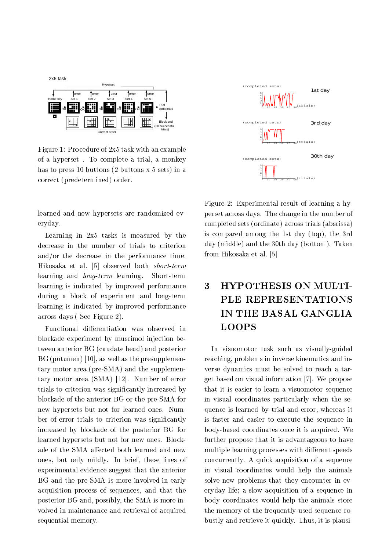

 $\mathbf{r}$  . The set of the set of the set of the set of the set of the set of the set of the set of the set of the set of the set of the set of the set of the set of the set of the set of the set of the set of the set of t . The contract of the contract of the contract of the contract of the contract of the contract of the contract of the contract of the contract of the contract of the contract of the contract of the contract of the contrac -  
 7  \*  
 

  
#

. In the contract of the contract of the contract of the contract of the contract of the contract of the contract of the contract of the contract of the contract of the contract of the contract of the contract of the contr eryday.

Learning in  $2x5$  tasks is measured by the @ - 

 - 

 # 6 11 
 # 
+
 -  - # -Short-term . The contract of the contract of the contract of the contract of the contract of the contract of the contract of the contract of the contract of the contract of the contract of the contract of the contract of the contrac  $\mathbf{1}$  , and  $\mathbf{1}$  , and  $\mathbf{1}$  , and  $\mathbf{1}$  , and  $\mathbf{1}$  , and  $\mathbf{1}$  , and  $\mathbf{1}$  , and  $\mathbf{1}$  , and  $\mathbf{1}$  , and  $\mathbf{1}$  , and  $\mathbf{1}$  , and  $\mathbf{1}$  , and  $\mathbf{1}$  , and  $\mathbf{1}$  , and  $\mathbf{1}$  , . The contract of the contract of the contract of the contract of the contract of the contract of the contract of the contract of the contract of the contract of the contract of the contract of the contract of the contrac  ! 

 2 \*#

1 
 !  0  
"  
 -    $\mathbf{r}$  and  $\mathbf{r}$  and  $\mathbf{r}$  and  $\mathbf{r}$  and  $\mathbf{r}$  and  $\mathbf{r}$  and  $\mathbf{r}$  and  $\mathbf{r}$  and  $\mathbf{r}$  and  $\mathbf{r}$  and  $\mathbf{r}$  and  $\mathbf{r}$  and  $\mathbf{r}$  and  $\mathbf{r}$  and  $\mathbf{r}$  and  $\mathbf{r}$  and  $\mathbf{r}$  and  $\blacksquare$  . The contract of the contract of the contract of the contract of the contract of the contract of the contract of the contract of the contract of the contract of the contract of the contract of the contract of the tary motor area  $(SMA)$  [12]. Number of error   %! ! 1 
  -   - 
"8  -!

   

 
# " where the contract of the contract of the contract of the contract of the contract of the contract of the contract of the contract of the contract of the contract of the contract of the contract of the contract of the cont . The contract of the contract of the contract of  $\Gamma$  is a set of the contract of the contract of the contract of the contract of the contract of the contract of the contract of the contract of the contract of the contra result in the second contract of the second contract of the second contract of the second contract of the second contract of the second contract of the second contract of the second contract of the second contract of the s 
( ! !# 3 ( -  
+ 

 - -  - 
"8 
 ++

!  $\mathbb{P}^1$  , and  $\mathbb{P}^1$  , and  $\mathbb{P}^1$  , and  $\mathbb{P}^1$  , and  $\mathbb{P}^1$  , and  $\mathbb{P}^1$  , and  $\mathbb{P}^1$  , and  $\mathbb{P}^1$  , and  $\mathbb{P}^1$  , and  $\mathbb{P}^1$  , and  $\mathbb{P}^1$  , and  $\mathbb{P}^1$  , and  $\mathbb{P}^1$  , and  $\mathbf{r}$  , and  $\mathbf{r}$  , and  $\mathbf{r}$  , and  $\mathbf{r}$  , and  $\mathbf{r}$  , and  $\mathbf{r}$  , and  $\mathbf{r}$  , and  $\mathbf{r}$  , and  $\mathbf{r}$  , and  $\mathbf{r}$  , and  $\mathbf{r}$  , and  $\mathbf{r}$  , and  $\mathbf{r}$  , and  $\mathbf{r}$  , and  $\mathbf{r}$  , ++
 +  /  $\sim$  100  $\,$   $\sim$  100  $\,$   $\sim$  100  $\,$   $\sim$  100  $\,$   $\sim$  100  $\,$   $\sim$  100  $\,$   $\sim$  100  $\,$   $\sim$  100  $\,$   $\sim$  100  $\,$   $\sim$  100  $\,$   $\sim$  100  $\,$   $\sim$  100  $\,$   $\sim$  100  $\,$   $\sim$  100  $\,$   $\sim$  100  $\,$   $\sim$  100  $\$ 



2 \*? ; 
  -!"  $\mathbf{r}$  . The set of  $\mathbf{r}$  and  $\mathbf{r}$  and  $\mathbf{r}$  and  $\mathbf{r}$  and  $\mathbf{r}$  and  $\mathbf{r}$  and  $\mathbf{r}$  and  $\mathbf{r}$  and  $\mathbf{r}$  and  $\mathbf{r}$  and  $\mathbf{r}$  and  $\mathbf{r}$  and  $\mathbf{r}$  and  $\mathbf{r}$  and  $\mathbf{r}$  and  $\mathbf$  $\mathbf{r}$  , and the contract of the contract of the contract of the contract of the contract of the contract of the contract of the contract of the contract of the contract of the contract of the contract of the contract o  $\mathbf{r}$  , and  $\mathbf{r}$  , and  $\mathbf{r}$  , and  $\mathbf{r}$  , and  $\mathbf{r}$  , and  $\mathbf{r}$  , and  $\mathbf{r}$  , and  $\mathbf{r}$  $\blacksquare$  . The state of the state of the state of the state of the state of the state of the state of the state of the state of the state of the state of the state of the state of the state of the state of the state of the  6 11 
 #

## - 
-- - 
 - **LOOPS**

3 +  1 - + !" 
 - ( 
 +

 1 " the contract of the contract of the contract of the contract of the contract of the contract of the contract of  $\blacksquare$  . The set of the set of the set of the set of the set of the set of the set of the set of the set of the set of the set of the set of the set of the set of the set of the set of the set of the set of the set of the -  
 +  
/ +  ! - - 
" /

 ! " "
( and the contract of the contract of the contract of the contract of the contract of the contract of the contract of the contract of the contract of the contract of the contract of the contract of the contract of the contra records the contract of the contract of the contract of the contract of the contract of the contract of the con  $\mathbf{r}$  is the contract of the contract of the contract of the contract of the contract of the contract of the contract of the contract of the contract of the contract of the contract of the contract of the contract of t 

 - )

 
!# / 1 /   
/ +   - - +

 
 - -! 


+"  $\mathcal{L} = \{ \mathcal{L} = \mathcal{L} \}$  . The contract of the contract of the contract of the contract of the contract of the contract of the contract of the contract of the contract of the contract of the contract of the contract of  $\blacksquare$  . The contract of the contract of the contract of the contract of the contract of the contract of the contract of the contract of the contract of the contract of the contract of the contract of the contract of the  $\blacksquare$  . The contract of the contract of the contract of the contract of the contract of the contract of the contract of the contract of the contract of the contract of the contract of the contract of the contract of the ! +
 / 1!# \$-( "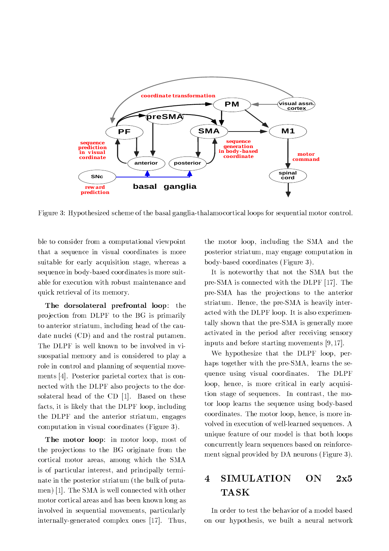

2 ,? 6!- -  - "-   
/  #

   
    +  - 
/

 +    $\mathbf{1}$  , and  $\mathbf{1}$  , and  $\mathbf{1}$  , and  $\mathbf{1}$  , and  $\mathbf{1}$  , and  $\mathbf{1}$  , and  $\mathbf{1}$  , and  $\mathbf{1}$  , and  $\mathbf{1}$  , and  $\mathbf{1}$  , and  $\mathbf{1}$  , and  $\mathbf{1}$  , and  $\mathbf{1}$  , and  $\mathbf{1}$  , and  $\mathbf{1}$  , results the contract of the contract of the contract of the contract of the contract of the contract of the con  $\sim$  1  $\sim$  1  $\sim$  1  $\sim$  1  $\sim$  1  $\sim$  1  $\sim$  1  $\sim$  1  $\sim$  1  $\sim$  1  $\sim$  1  $\sim$ 

Inc derectated premember 1999. The projection from DLPF to the BG is primarily   ( -  - " 
 C -  
# The DLPF is well known to be involved in virecords the contract of the contract of the contract of the contract of the contract of the contract of the con 
   
/ +
" .# 9  
 - " nected with the DLPF also projects to the dor-
 -  - C #  facts, it is likely that the DLPF loop, including the DLPF and the anterior striatum, engages  $\mathbf{r} = \mathbf{r} + \mathbf{r}$  and  $\mathbf{r} = \mathbf{r} + \mathbf{r}$  and  $\mathbf{r} = \mathbf{r} + \mathbf{r}$  and  $\mathbf{r} = \mathbf{r} + \mathbf{r}$ 

  ?  (   -  0   -   -   
(  - - - 8  ( ! " -   - 1  "  $\mathbf{r} = \mathbf{r} + \mathbf{r}$  , and the set of the set of the set of the set of the set of the set of the set of the set of the set of the set of the set of the set of the set of the set of the set of the set of the set of the s  $\blacksquare$  . The contract of the contract of the contract of the contract of  $\blacksquare$  ++

/ +

( !  $\blacksquare$  . The set of the set of the set of the set of the set of the set of the set of the set of the set of the set of the set of the set of the set of the set of the set of the set of the set of the set of the set of the

-  ( - 8 -   ( ! 

    $\blacksquare$  . The set of the set of the set of the set of the set of the set of the set of the set of the set of the set of the set of the set of the set of the set of the set of the set of the set of the set of the set of the

3 
-! -  - 8 pre-SMA is connected with the DLPF  $|17|$ . The  $\blacksquare$  $\mathbb{R}^n$  -state of the state of the state of the state of the state of the state of the state of the state of the state of the state of the state of the state of the state of the state of the state of the state of the s  $\mathbf{r} = \mathbf{r} + \mathbf{r}$ acted with the DLPF loop. It is also experimen- $\blacksquare$  . The set of the set of the set of the set of the set of the set of the set of the set of the set of the set of the set of the set of the set of the set of the set of the set of the set of the set of the set of the  $\mathbf{H} = \mathbf{H} \mathbf{H}$  

 +

 D( A#

We hypothesize that the  $\rm{DLPF}$  loop, per- $\mathbf{r}$  , and  $\mathbf{r}$  , and  $\mathbf{r}$  , and  $\mathbf{r}$  , and  $\mathbf{r}$  , and  $\mathbf{r}$  , and  $\mathbf{r}$  , and  $\mathbf{r}$  , and  $\mathbf{r}$  , and  $\mathbf{r}$  , and  $\mathbf{r}$  , and  $\mathbf{r}$  , and  $\mathbf{r}$  , and  $\mathbf{r}$  , and  $\mathbf{r}$  ,  $\mathbf{A}$  , and the set of  $\mathbf{A}$  , and the set of  $\mathbf{A}$  , and the set of  $\mathbf{A}$  , and the set of  $\mathbf{A}$ The DLPF ( -( 

! / "  $\mathcal{L}$  , and  $\mathcal{L}$  are the statistical contract of  $\mathcal{L}$  . The statistic order of  $\mathcal{L}$   
 - 
/

  !"
  $\mathbb{F}^{n}$  $\frac{1}{\sqrt{2}}$  , and the contract of the contract of the contract of the contract of the contract of the contract of the contract of the contract of the contract of the contract of the contract of the contract of the contra  $\mathbb{P}^1$  . The contract of the contract of the contract of the contract of the contract of the contract of the contract of the contract of the contract of the contract of the contract of the contract of the contract of 
! 

/

  
" + 
 ! 
 2 ,#

### 4 SIMULATION  $ON$  $2\mathrm{x}5$ **TASK**

 $\mathcal{L} = \mathcal{L} = \mathcal{L} = \mathcal{L} = \mathcal{L} = \mathcal{L} = \mathcal{L} = \mathcal{L} = \mathcal{L} = \mathcal{L} = \mathcal{L} = \mathcal{L} = \mathcal{L} = \mathcal{L} = \mathcal{L} = \mathcal{L} = \mathcal{L} = \mathcal{L} = \mathcal{L} = \mathcal{L} = \mathcal{L} = \mathcal{L} = \mathcal{L} = \mathcal{L} = \mathcal{L} = \mathcal{L} = \mathcal{L} = \mathcal{L} = \mathcal{L} = \mathcal{L} = \mathcal{L} = \mathcal$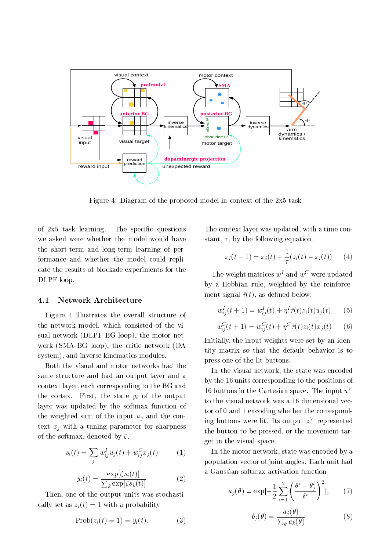

2 .?  - 
  
 
  - \* 1

of  $2x5$  task learning. # \$- % /  - -"
 "
  
"  $-$  . The contract of the contract of the contract of the contract of the contract of the contract of the contract of the contract of the contract of the contract of the contract of the contract of the contract of the con  $\blacksquare$  . The contract of the contract of the contract of the contract of the contract of the contract of the contract of the contract of the contract of the contract of the contract of the contract of the contract of the DLPF loop.

#### Network Architecture 4.1

2 . - +

  - 
1  
( - -   - + " sual network (DLPF-BG loop), the motor net- $\mathbf{r}$  and  $\mathbf{r}$  and  $\mathbf{r}$  and  $\mathbf{r}$  and  $\mathbf{r}$  and  $\mathbf{r}$  and  $\mathbf{r}$  and  $\mathbf{r}$  and  $\mathbf{r}$  and  $\mathbf{r}$  and  $\mathbf{r}$  and  $\mathbf{r}$  and  $\mathbf{r}$  and  $\mathbf{r}$  and  $\mathbf{r}$  and  $\mathbf{r}$  and  $\mathbf{r}$  and  $\mathcal{A}$  , and a set of the set of the set of the set of the set of the set of the set of the set of the set of the set of the set of the set of the set of the set of the set of the set of the set of the set of the set of

 
 -  !
 
 !
( 
- 
  -  $\mathcal{L}_{\mathcal{L}}$  . The contract  $\mathcal{L}_{\mathcal{L}}$  and  $\mathcal{L}_{\mathcal{L}}$  . The contract of the contract of the contract of the contract of the contract of the contract of the contract of the contract of the contract of the contrac !

 ! -    - -  - - - " -- - 

  -  - ( 

 ! #

$$
s_i(t) = \sum_j w_{ij}^I u_j(t) + w_{ij}^C x_j(t) \tag{1}
$$

$$
y_i(t) = \frac{\exp[\zeta s_i(t)]}{\sum_k \exp[\zeta s_k(t)]}
$$
 (2)

\$-( 
  -  - " ! 
 E -  !

$$
Prob(z_i(t) = 1) = y_i(t). \tag{3}
$$

\$- 
 !

 ( - " ( ( ! -  
/ #

$$
x_i(t+1) = x_i(t) + \frac{1}{\tau}(z_i(t) - x_i(t)) \qquad (4)
$$

I ne weight matrices  $w^2$  and  $w^2$  were updated  $\mathbf{A}$  . The contract of  $\mathbf{A}$  is a set of  $\mathbf{A}$  is a set of  $\mathbf{A}$  is a set of  $\mathbf{A}$  is a set of  $\mathbf{A}$  is a set of  $\mathbf{A}$  is a set of  $\mathbf{A}$  is a set of  $\mathbf{A}$  is a set of  $\mathbf{A}$  is a set of  $\mathbf{$ G ( 
%

B

$$
w_{ij}^{I}(t+1) = w_{ij}^{I}(t) + \eta^{I} \hat{r}(t) z_{i}(t) u_{j}(t) \qquad (5)
$$

$$
w_{ij}^C(t+1) = w_{ij}^C(t) + \eta^C \hat{r}(t) z_i(t) x_j(t) \qquad (6)
$$

 $\mathbf{A}$  , and  $\mathbf{A}$  , and  $\mathbf{A}$  , and  $\mathbf{A}$  , and  $\mathbf{A}$  , and  $\mathbf{A}$  , and  $\mathbf{A}$  , and  $\mathbf{A}$  , and  $\mathbf{A}$  , and  $\mathbf{A}$  , and  $\mathbf{A}$  , and  $\mathbf{A}$  , and  $\mathbf{A}$  , and  $\mathbf{A}$  , and  $\mathbf{A}$  ,  $\blacksquare$  . The contract of the contract of the contract of the contract of the contract of the contract of the contract of the contract of the contract of the contract of the contract of the contract of the contract of the  $\blacksquare$  . The contract of the contract of the contract of the contract of the contract of the contract of the contract of the contract of the contract of the contract of the contract of the contract of the contract of the

3 - + 
1( - 

 
 ! - - 
  -    To puttons in the Cartesian space. The input  $u$  $\mathbf{r}$  , and the contract of  $\mathbf{r}$  , and the contract of  $\mathbf{r}$  , and the contract of  $\mathbf{r}$  $\ln g$  buttons were  $\ln$ . Its output  $z$  represented -   

 (  - +

 " - + 
#

3 -  
1( 

 
 !   +
  0 
# ;- - 

$$
a_j(\theta) = \exp\left[-\frac{1}{2}\sum_{i=1}^2 \left(\frac{\theta^i - \theta_j^i}{\delta^i}\right)^2\right],\qquad(7)
$$

$$
b_j(\theta) = \frac{a_j(\theta)}{\sum_k a_k(\theta)}\tag{8}
$$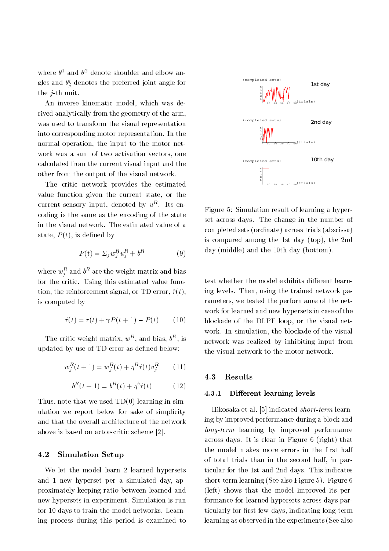where  $\theta^1$  and  $\theta^2$  denote shoulder and elbow angles and  $\theta_i^i$  denotes the preferred joint angle for the  $j$ -th unit.

An inverse kinematic model, which was derived analytically from the geometry of the arm, was used to transform the visual representation into corresponding motor representation. In the normal operation, the input to the motor network was a sum of two activation vectors, one calculated from the current visual input and the other from the output of the visual network.

The critic network provides the estimated value function given the current state, or the current sensory input, denoted by  $u^R$ . Its encoding is the same as the encoding of the state in the visual network. The estimated value of a state,  $P(t)$ , is defined by

$$
P(t) = \Sigma_j w_j^R u_j^R + b^R \tag{9}
$$

where  $w_i^R$  and  $b^R$  are the weight matrix and bias for the critic. Using this estimated value function, the reinforcement signal, or TD error,  $\hat{r}(t)$ , is computed by

$$
\hat{r}(t) = r(t) + \gamma P(t+1) - P(t) \tag{10}
$$

The critic weight matrix,  $w^R$ , and bias,  $b^R$ , is updated by use of TD error as defined below:

$$
w_j^R(t+1) = w_j^R(t) + \eta^R \hat{r}(t) u_j^R \qquad (11)
$$

$$
b^{R}(t+1) = b^{R}(t) + \eta^{b}\hat{r}(t)
$$
 (12)

Thus, note that we used  $TD(0)$  learning in simulation we report below for sake of simplicity and that the overall architecture of the network above is based on actor-critic scheme [2].

#### 4.2 **Simulation Setup**

We let the model learn 2 learned hypersets and 1 new hyperset per a simulated day, approximately keeping ratio between learned and new hypersets in experiment. Simulation is run for 10 days to train the model networks. Learning process during this period is examined to



Figure 5: Simulation result of learning a hyperset across days. The change in the number of completed sets (ordinate) across trials (abscissa) is compared among the 1st day (top), the 2nd day (middle) and the 10th day (bottom).

test whether the model exhibits different learning levels. Then, using the trained network parameters, we tested the performance of the network for learned and new hypersets in case of the blockade of the DLPF loop, or the visual network. In simulation, the blockade of the visual network was realized by inhibiting input from the visual network to the motor network.

#### Results 4.3

#### Different learning levels  $4.3.1$

Hikosaka et al. [5] indicated *short-term* learning by improved performance during a block and *long-term* learning by improved performance across days. It is clear in Figure 6 (right) that the model makes more errors in the first half of total trials than in the second half, in particular for the 1st and 2nd days. This indicates short-term learning (See also Figure 5). Figure 6 (left) shows that the model improved its performance for learned hypersets across days particularly for first few days, indicating long-term learning as observed in the experiments (See also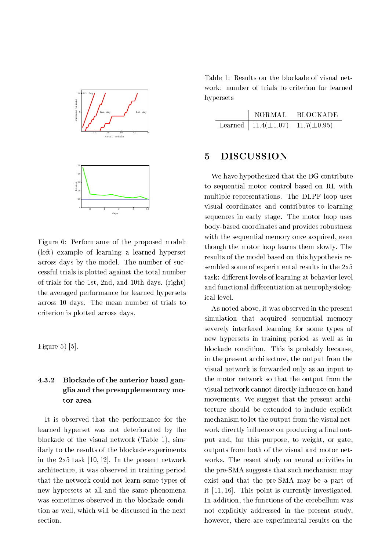

Figure 6: Performance of the proposed model: (left) example of learning a learned hyperset across days by the model. The number of successful trials is plotted against the total number of trials for the 1st, 2nd, and 10th days. (right) the averaged performance for learned hypersets across 10 days. The mean number of trials to criterion is plotted across days.

Figure 5 $[5]$ .

## Blockade of the anterior basal gan-4.3.2 glia and the presupplementary motor area

It is observed that the performance for the learned hyperset was not deteriorated by the blockade of the visual network (Table 1), similarly to the results of the blockade experiments in the  $2x5$  task [10,12]. In the present network architecture, it was observed in training period that the network could not learn some types of new hypersets at all and the same phenomena was sometimes observed in the blockade condition as well, which will be discussed in the next section.

Table 1: Results on the blockade of visual network: number of trials to criterion for learned hypersets

| <b>NORMAL</b>              | -BLOCK ADE       |
|----------------------------|------------------|
| Learned   $11.4(\pm 1.07)$ | $11.7(\pm 0.95)$ |

### **DISCUSSION** 5

We have hypothesized that the BG contribute to sequential motor control based on RL with multiple representations. The DLPF loop uses visual coordinates and contributes to learning sequences in early stage. The motor loop uses body-based coordinates and provides robustness with the sequential memory once acquired, even though the motor loop learns them slowly. The results of the model based on this hypothesis resembled some of experimental results in the 2x5 task: different levels of learning at behavior level and functional differentiation at neurophysiological level.

As noted above, it was observed in the present simulation that acquired sequential memory severely interfered learning for some types of new hypersets in training period as well as in blockade condition. This is probably because, in the present architecture, the output from the visual network is forwarded only as an input to the motor network so that the output from the visual network cannot directly influence on hand movements. We suggest that the present architecture should be extended to include explicit mechanism to let the output from the visual network directly influence on producing a final output and, for this purpose, to weight, or gate, outputs from both of the visual and motor networks. The resent study on neural activities in the pre-SMA suggests that such mechanism may exist and that the pre-SMA may be a part of it [11, 16]. This point is currently investigated. In addition, the functions of the cerebellum was not explicitly addressed in the present study, however, there are experimental results on the